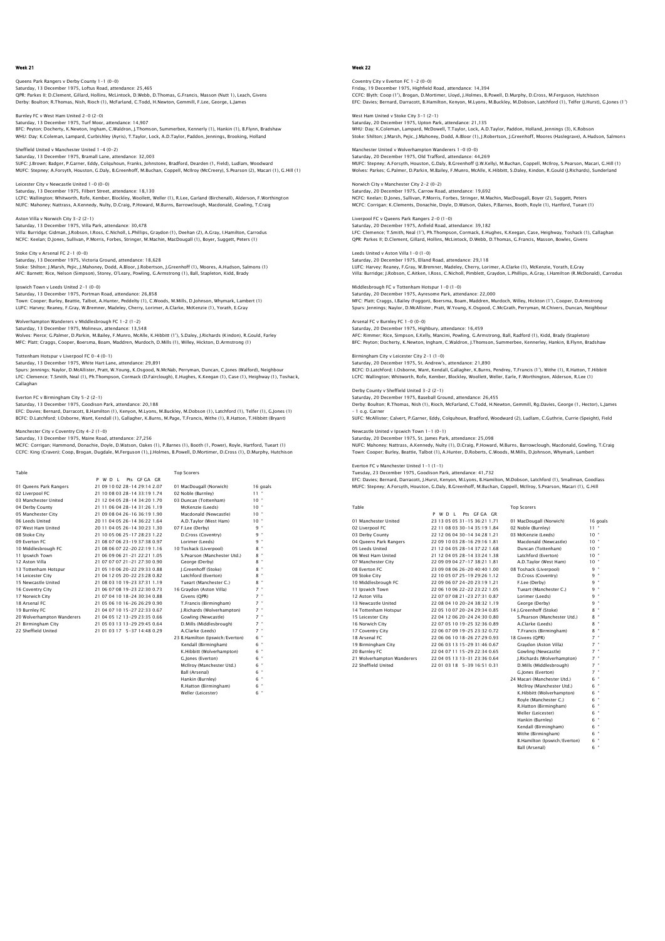Queens Park Rangers v Derby County 1–1 (0–0)<br>Saturday, 13 December 1975, Loftus Road, attendance: 25,465<br>QPR: Parkes II; D.Clement, Gillard, Hollins, McLintock, D.Webb, D.Thomas, G.Francis, Masson (Nutt 1), Leach, Givens Derby: Boulton; R.Thomas, Nish, Rioch (1), McFarland, C.Todd, H.Newton, Gemmill, F.Lee, George, L.James

Burnley FC v West Ham United 2-0 (2-0) Saturday, 13 December 1975, Turf Moor, attendance: 14,907 BFC: Peyton; Docherty, K.Newton, Ingham, C.Waldron, J.Thomson, Summerbee, Kennerly (1), Hankin (1), B.Flynn, Bradshaw WHU: Day; K.Coleman, Lampard, Curbishley (Ayris), T.Taylor, Lock, A.D.Taylor, Paddon, Jennings, Brooking, Holland

Sheffield United v Manchester United 1-4 (0-2) Sherrield United V Manchester United 1997, 27<br>Saturday, 13 December 1975, Bramall Lane, attendance: 32,003 SUFC: J.Brown; Badger, P.Garner, Eddy, Colquhoun, Franks, Johnstone, Bradford, Dearden (1, Field), Ludlam, Woodward MUFC: Stepney; A.Forsyth, Houston, G.Daly, B.Greenhoff, M.Buchan, Coppell, McIlroy (McCreery), S.Pearson (2), Macari (1), G.Hill (1)

Leicester City v Newcastle United 1-0 (0-0) Saturday, 13 December 1975, Filbert Street, attendance: 18,130 LCFC: Wallington; Whitworth, Rofe, Kember, Blockley, Woollett, Weller (1), R.Lee, Garland (Birchenall), Alderson, F.Worthington<br>NUFC: Mahoney; Nattrass, A.Kennedy, Nulty, D.Craig, P.Howard, M.Burns, Barrowclough, Macdonald

Aston Villa v Norwich City 3-2 (2-1) Saturday, 13 December 1975, Villa Park, attendance: 30,478 Villa: Burridge; Gidman, J.Robson, I.Ross, C.Nicholl, L.Phillips, Graydon (1), Deehan (2), A.Gray, I.Hamilton, Carrodus NCFC: Keelan; D.Jones, Sullivan, P.Morris, Forbes, Stringer, M.Machin, MacDougall (1), Boyer, Suggett, Peters (1)

## Stoke City v Arsenal FC 2-1 (0-0)

Saturday, 13 December 1975, Victoria Ground, attendance: 18,628 Stoke: Shilton; J.Marsh, Pejic, J.Mahoney, Dodd, A.Bloor, J.Robertson, J.Greenhoff (1), Moores, A.Hudson, Salmons (1) AFC: Barnett; Rice, Nelson (Simpson), Storey, O'Leary, Powling, G.Armstrong (1), Ball, Stapleton, Kidd, Brady

## Ipswich Town v Leeds United 2-1 (0-0)

Saturday, 13 December 1975, Portman Road, attendance: 26,858 Town: Cooper; Burley, Beattie, Talbot, A.Hunter, Peddelty (1), C.Woods, M.Mills, D.Johnson, Whymark, Lambert (1) LUFC: Harvey; Reaney, F.Gray, W.Bremner, Madeley, Cherry, Lorimer, A.Clarke, McKenzie (1), Yorath, E.Gray

Wolverhampton Wanderers v Middlesbrough FC 1-2 (1-2) Saturday, 13 December 1975, Molineux, attendance: 13,548<br>Wolves: Pierce; G.Palmer, D.Parkin, M.Bailey, F.Munro, McAlle, K.Hibbitt (1'), S.Daley, J.Richards (Kindon), R.Gould, Farley<br>MFC: Platt, Craggs, Cooper, Boersma, Boa

Tottenham Hotspur v Liverpool FC 0-4 (0-1)

Saturday, 13 December 1975, White Hart Lane, attendance: 29,891<br>Spurs: Jennings; Naylor, D.McAllister, Pratt, W.Young, K.Osgood, N.McNab, Perryman, Duncan, C.Jones (Walford), Neighbour<br>LFC: Clemence; T.Smith, Neal (1), Ph. Callaghan

# Everton FC v Birmingham City 5-2 (2-1)

Saturday, 13 December 1975, Goodison Park, attendance: 20,188<br>EFC: Davies: Bernard, Darracott, B.Hamilton (1), Kenyon, M.Lyons, M.Buckley, M.Dobson (1), Latchford (1), Telfer (1), G.Jones (1)<br>BCFC: D.Latchford: I.Osborne,

#### Manchester City v Coventry City 4-2 (1-0)

### Saturday, 13 December 1975, Maine Road, attendance: 27,256

MCFC: Corrigan; Hammond, Donachie, Doyle, D.Watson, Oakes (1), P.Barnes (1), Booth (1, Power), Royle, Hartford, Tueart (1)<br>CCFC: Kinq (Craven); Coop, Broqan, Duqdale, M.Ferquson (1), J.Holmes, B.Powell, D.Mortimer, D.Cross

| Table                      |                                | <b>Top Scorers</b>              |                               |
|----------------------------|--------------------------------|---------------------------------|-------------------------------|
|                            | Pts GEGA GR<br>P W D I         |                                 |                               |
| 01 Oueens Park Rangers     | 21 09 10 02 28-14 29:14 2.07   | 01 MacDougall (Norwich)         | 16 goals                      |
| 02 Liverpool FC            | 21 10 08 03 28-14 33:19 1.74   | 02 Noble (Burnley)              | $11 -$                        |
| 03 Manchester United       | 21 12 04 05 28-14 34:20 1.70   | 03 Duncan (Tottenham)           | $10 -$                        |
| 04 Derby County            | 21 11 06 04 28-14 31:26 1.19   | McKenzie (Leeds)                | 10"                           |
| 05 Manchester City         | 21 09 08 04 26-16 36:19 1.90   | Macdonald (Newcastle)           | 10"                           |
| 06 Leeds United            | 20 11 04 05 26-14 36:22 1.64   | A.D.Tavlor (West Ham)           | $10 -$                        |
| 07 West Ham United         | 20 11 04 05 26-14 30:23 1.30   | 07 F.Lee (Derby)                | 9 "                           |
| 08 Stoke City              | 21 10 05 06 25-17 28:23 1.22   | D.Cross (Coventry)              | 9 "                           |
| 09 Everton EC              | 21 08 07 06 23-19 37:38 0.97   | Lorimer (Leeds)                 | 9 "                           |
| 10 Middlesbrough FC        | 21 08 06 07 22-20 22:19 1.16   | 10 Toshack (Liverpool)          | $8$ "                         |
| 11 Ipswich Town            | 21 06 09 06 21-21 22:21 1.05   | S.Pearson (Manchester Utd.)     | $8 -$                         |
| 12 Aston Villa             | 21 07 07 07 21 - 21 27 30 0.90 | George (Derby)                  | $8$ "                         |
| 13 Tottenham Hotspur       | 21 05 10 06 20-22 29:33 0.88   | I.Greenhoff (Stoke)             | $8 -$                         |
| 14 Leicester City          | 21 04 12 05 20-22 23:28 0.82   | Latchford (Everton)             | 8 "                           |
| 15 Newcastle United        | 21 08 03 10 19-23 37:31 1.19   | Tueart (Manchester C.)          | 8 "                           |
| 16 Coventry City           | 21 06 07 08 19-23 22:30 0.73   | 16 Gravdon (Aston Villa)        | $7$ "                         |
| 17 Norwich City            | 21 07 04 10 18-24 30:34 0.88   | Givens (OPR)                    | $7 -$                         |
| 18 Arsenal FC              | 21 05 06 10 16-26 26:29 0.90   | T.Francis (Birmingham)          | $7 -$                         |
| 19 Burnley FC              | 21 04 07 10 15-27 22:33 0.67   | J.Richards (Wolverhampton)      | $7 -$                         |
| 20 Wolverhampton Wanderers | 21 04 05 12 13-29 23:35 0.66   | Gowling (Newcastle)             | $7 -$                         |
| 21 Birmingham City         | 21 05 03 13 13-29 29:45 0.64   | D.Mills (Middlesbrough)         | $7 -$                         |
| 22 Sheffield United        | 21 01 03 17 5-37 14:48 0.29    | A.Clarke (Leeds)                | $7 -$                         |
|                            |                                | 23 B.Hamilton (Ipswich/Everton) | 6 "                           |
|                            |                                | Kendall (Birmingham)            | 6 "                           |
|                            |                                | K.Hibbitt (Wolverhampton)       | 6 "                           |
|                            |                                | G. lones (Everton)              | 6 "                           |
|                            |                                | McIlrov (Manchester Utd.)       | $6$ "                         |
|                            |                                | <b>Ball (Arsenal)</b>           | $\overline{\phantom{a}}$<br>6 |

Hankin (Burnley)

R.Hatton (Birmingham) 6 " Weller (Leicester) 6 "

## Week 22

# Coventry City v Everton FC 1–2 (0–0)<br>Friday, 19 December 1975, Highfield Road, attendance: 14,394<br>CCFC: Blyth; Coop (1'), Broqan, D.Mortimer, Lloyd, J.Holmes, B.Powell, D.Murphy, D.Cross, M.Ferguson, Hutchisor EFC: Davies; Bernard, Darracott, B.Hamilton, Kenyon, M.Lyons, M.Buckley, M.Dobson, Latchford (1), Telfer (J.Hurst), G.Jones (1')

West Ham United v Stoke City 3–1 (2–1)<br>Saturday, 20 December 1975, Upton Park, attendance: 21,135<br>WHU: Day; K.Coleman, Lampard, McDowell, T.Taylor, Lock, A.D.Taylor, Paddon, Holland, Jennings (3), K.Robson Stoke: Shilton; J.Marsh, Pejic, J.Mahoney, Dodd, A.Bloor (1), J.Robertson, J.Greenhoff, Moores (Haslegrave), A.Hudson, Salmons

Manchester United v Wolverhampton Wanderers 1–0 (0–0)<br>Saturday, 20 December 1975, Old Trafford, attendance: 44,269<br>MUFC: Stepney: A.Forsyth, Houston, G.Daly, B.Greenhoff (J.W.Kelly), M.Buchan, Coppell, McIlroy, S.Pearson, Wolves: Parkes; G.Palmer, D.Parkin, M.Bailey, F.Munro, McAlle, K.Hibbitt, S.Daley, Kindon, R.Gould (J.Richards), Sunderland

Norwich City v Manchester City 2-2 (0-2) Saturday, 20 December 1975, Carrow Road, attendance: 19,692 NCFC: Keelan; D.Jones, Sullivan, P.Morris, Forbes, Stringer, M.Machin, MacDougall, Boyer (2), Suggett, Peters MCFC: Corrigan; K.Clements, Donachie, Doyle, D.Watson, Oakes, P.Barnes, Booth, Royle (1), Hartford, Tueart (1)

Liverpool FC v Queens Park Rangers 2-0 (1-0) Saturday, 20 December 1975, Anfield Road, attendance: 39,182 LFC: Clemence; T.Smith, Neal (1'), Ph.Thompson, Cormack, E.Hughes, K.Keegan, Case, Heighway, Toshack (1), Callaghan QPR: Parkes II; D.Clement, Gillard, Hollins, McLintock, D.Webb, D.Thomas, G.Francis, Masson, Bowles, Givens

Saturday, 20 December 1975, Elland Road, attendance: 29,118 LUFC: Harvey; Reaney, F.Gray, W.Bremner, Madeley, Cherry, Lorimer, A.Clarke (1), McKenzie, Yorath, E.Gray Villa: Burridge; J.Robson, C.Aitken, I.Ross, C.Nicholl, Pimblett, Graydon, L.Phillips, A.Gray, I.Hamilton (R.McDonald), Carrodus Middlesbrough FC v Tottenham Hotspur 1-0 (1-0)

Saturday, 20 December 1975, Ayresome Park, attendance: 22,000 MFC: Platt; Craggs, I.Bailey (Foggon), Boersma, Boam, Maddren, Murdoch, Willey, Hickton (1'), Cooper, D.Armstrong Spurs: Jennings; Naylor, D.McAllister, Pratt, W.Young, K.Osgood, C.McGrath, Perryman, M.Chivers, Duncan, Neighbour

## Arsenal FC v Burnley FC 1-0 (0-0)

Leeds United v Aston Villa 1-0 (1-0)

Saturday, 20 December 1975, Highbury, attendance: 16,459<br>AFC: Rimmer; Rice, Simpson, E.Kelly, Mancini, Powling, G.Armstrong, Ball, Radford (1), Kidd, Brady (Stapleton)<br>BFC: Peyton; Docherty, K.Newton, Ingham, C.Waldron, J.

#### Birmingham City v Leicester City 2-1 (1-0)

Saturday, 20 December 1975, St. Andrew's, attendance: 21,890 BCFC: D.Latchford; I.Osborne, Want, Kendall, Gallagher, K.Burns, Pendrey, T.Francis (1'), Withe (1), R.Hatton, T.Hibbitt<br>LCFC: Wallington; Whitworth, Rofe, Kember, Blockley, Woollett, Weller, Earle, F.Worthington, Alderson

#### Derby County v Sheffield United 3-2 (2-1) Saturday, 20 December 1975, Baseball Ground, attendance: 26,455

Derby: Boulton; R.Thomas, Nish (1), Rioch, McFarland, C.Todd, H.Newton, Gemmill, Rg.Davies, George (1, Hector), L.James – 1 o.g. Garner

SUFC: McAllister; Calvert, P.Garner, Eddy, Colquhoun, Bradford, Woodward (2), Ludlam, C.Guthrie, Currie (Speight), Field

#### Newcastle United v Ipswich Town 1-1 (0-1) Saturday, 20 December 1975, St. James Park, attendance: 25,098

NUFC: Mahoney; Nattrass, A.Kennedy, Nulty (1), D.Craig, P.Howard, M.Burns, Barrowclough, Macdonald, Gowling, T.Craig<br>Town: Cooper: Burley, Beattie, Talbot (1), A.Hunter, D.Roberts, C.Woods, M.Mills, D.Johnson, Whymark, Lam

#### Everton FC v Manchester United 1-1 (1-1)

Tuesday, 23 December 1975, Goodison Park, attendance: 41,732<br>EFC: Davies; Bernard, Darracott, J.Hurst, Kenyon, M.Lyons, B.Hamilton, M.Dobson, Latchford (1), Smallman, Goodlass<br>MUFC: Stepney; A.Forsyth, Houston, G.Daly, B.G

| Table | <b>Top Scorers</b> |
|-------|--------------------|

|                            | Pts GE GA GR<br>PWDI         |                             |                 |
|----------------------------|------------------------------|-----------------------------|-----------------|
| 01 Manchester United       | 23 13 05 05 31-15 36:21 1.71 | 01 MacDougall (Norwich)     | 16 goals        |
| 02 Liverpool FC            | 22 11 08 03 30-14 35:19 1.84 | 02 Noble (Burnley)          | $11 -$          |
| 03 Derby County            | 22 12 06 04 30-14 34:28 1.21 | 03 McKenzie (Leeds)         | 10 <sup>°</sup> |
| 04 Queens Park Rangers     | 22 09 10 03 28-16 29:16 1.81 | Macdonald (Newcastle)       | $10^{-4}$       |
| 05 Leeds United            | 21 12 04 05 28-14 37:22 1.68 | Duncan (Tottenham)          | $10^{-4}$       |
| 06 West Ham United         | 21 12 04 05 28-14 33:24 1.38 | Latchford (Everton)         | $10^{-4}$       |
| 07 Manchester City         | 22 09 09 04 27-17 38:21 1.81 | A.D.Tavlor (West Ham)       | $10 -$          |
| 08 Everton EC              | 23 09 08 06 26-20 40:40 1.00 | 08 Toshack (Liverpool)      | $9 -$           |
| 09 Stoke City              | 22 10 05 07 25-19 29:26 1.12 | D.Cross (Coventry)          | $9 -$           |
| 10 Middlesbrough FC        | 22 09 06 07 24-20 23:19 1.21 | F.Lee (Derby)               | $9 -$           |
| 11 Ipswich Town            | 22 06 10 06 22-22 23:22 1.05 | Tueart (Manchester C.)      | $9 -$           |
| 12 Aston Villa             | 22 07 07 08 21-23 27:31 0.87 | Lorimer (Leeds)             | $9 -$           |
| 13 Newcastle United        | 22 08 04 10 20-24 38:32 1.19 | George (Derby)              | $9 -$           |
| 14 Tottenham Hotspur       | 22 05 10 07 20-24 29:34 0.85 | 14 I.Greenhoff (Stoke)      | $8 -$           |
| 15 Leicester City          | 22 04 12 06 20-24 24:30 0.80 | S.Pearson (Manchester Utd.) | $8 -$           |
| 16 Norwich City            | 22 07 05 10 19-25 32:36 0.89 | A.Clarke (Leeds)            | $8 -$           |
| 17 Coventry City           | 22 06 07 09 19-25 23:32 0.72 | T.Francis (Birmingham)      | $8 -$           |
| 18 Arsenal FC              | 22 06 06 10 18-26 27:29 0.93 | 18 Givens (OPR)             | $7 -$           |
| 19 Birmingham City         | 22 06 03 13 15-29 31:46 0.67 | Gravdon (Aston Villa)       | $7 -$           |
| 20 Burnley FC              | 22 04 07 11 15-29 22:34 0.65 | Gowling (Newcastle)         | $7 -$           |
| 21 Wolverhampton Wanderers | 22 04 05 13 13-31 23:36 0.64 | I.Richards (Wolverhampton)  | $7 -$           |
| 22 Sheffield United        | 22 01 03 18 5-39 16:51 0.31  | D.Mills (Middlesbrough)     | $7 -$           |
|                            |                              | G.lones (Everton)           | $7 -$           |
|                            |                              | 24 Macari (Manchester Utd.) | $6 -$           |
|                            |                              | McIlrov (Manchester Utd.)   | 6 "             |

| Gravdon (Aston Villa)        |   |          |
|------------------------------|---|----------|
| Gowling (Newcastle)          |   |          |
| I.Richards (Wolverhampton)   | 7 |          |
| D.Mills (Middlesbrough)      | 7 |          |
| G.lones (Everton)            | 7 |          |
| 24 Macari (Manchester Utd.)  | 6 |          |
| McIlrov (Manchester Utd.)    | 6 | $\alpha$ |
| K.Hibbitt (Wolverhampton)    | 6 |          |
| Rovie (Manchester C.)        | 6 |          |
| R.Hatton (Birmingham)        | 6 | ۰        |
| Weller (Leicester)           | 6 |          |
| Hankin (Burnley)             | 6 |          |
| Kendall (Birmingham)         | 6 |          |
| Withe (Birmingham)           | 6 |          |
| B.Hamilton (Ipswich/Everton) | 6 |          |
| Ball (Arsenal)               | 6 |          |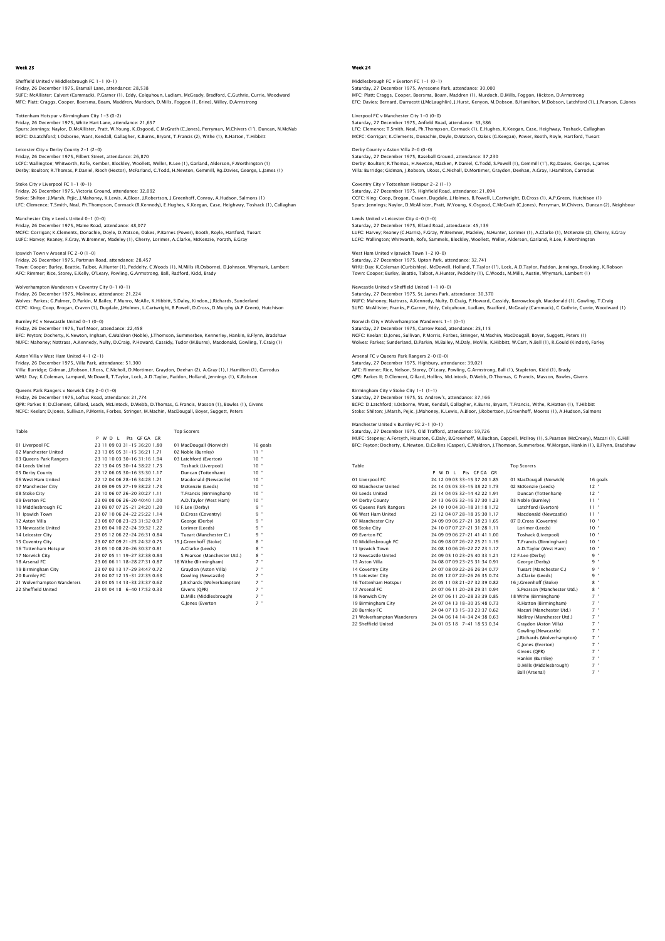## Sheffield United v Middlesbrough FC 1-1 (0-1) Friday, 26 December 1975, Bramall Lane, attendance: 28,538 SUFC: McAllister; Calvert (Cammack), P.Garner (1), Eddy, Colquhoun, Ludlam, McGeady, Bradford, C.Guthrie, Currie, Woodward MFC: Platt; Craggs, Cooper, Boersma, Boam, Maddren, Murdoch, D.Mills, Foggon (1, Brine), Willey, D.Armstrong

Tottenham Hotspur v Birmingham City 1–3 (0–2)<br>Friday, 26 December 1975, White Hart Lane, attendance: 21,657<br>Spurs: Jennings: Naylor, D.McAllister, Pratt, W.Young, K.Osgood, C.McGrath (C.Jones), Perryman, M.Chivers (1'), Du BCFC: D.Latchford; I.Osborne, Want, Kendall, Gallagher, K.Burns, Bryant, T.Francis (2), Withe (1), R.Hatton, T.Hibbitt

Leicester City v Derby County 2-1 (2-0) Friday, 26 December 1975, Filbert Street, attendance: 26,870 LCFC: Wallington; Whitworth, Rofe, Kember, Blockley, Woollett, Weller, R.Lee (1), Garland, Alderson, F.Worthington (1) Derby: Boulton; R.Thomas, P.Daniel, Rioch (Hector), McFarland, C.Todd, H.Newton, Gemmill, Rg.Davies, George, L.James (1)

Stoke City v Liverpool FC 1-1 (0-1) Friday, 26 December 1975, Victoria Ground, attendance: 32,092 Stoke: Shilton; J.Marsh, Pejic, J.Mahoney, K.Lewis, A.Bloor, J.Robertson, J.Greenhoff, Conroy, A.Hudson, Salmons (1)<br>LFC: Clemence; T.Smith, Neal, Ph.Thompson, Cormack (R.Kennedy), E.Hughes, K.Keegan, Case, Heighway, Tosha

Manchester City v Leeds United 0-1 (0-0) Friday, 26 December 1975, Maine Road, attendance: 48,077 MCFC: Corrigan; K.Clements, Donachie, Doyle, D.Watson, Oakes, P.Barnes (Power), Booth, Royle, Hartford, Tueart LUFC: Harvey; Reaney, F.Gray, W.Bremner, Madeley (1), Cherry, Lorimer, A.Clarke, McKenzie, Yorath, E.Gray

Ipswich Town v Arsenal FC 2-0 (1-0) Friday, 26 December 1975, Portman Road, attendance: 28,457 Town: Cooper; Burley, Beattie, Talbot, A.Hunter (1), Peddelty, C.Woods (1), M.Mills (R.Osborne), D.Johnson, Whymark, Lambert AFC: Rimmer; Rice, Storey, E.Kelly, O'Leary, Powling, G.Armstrong, Ball, Radford, Kidd, Brady

Wolverhampton Wanderers v Coventry City 0-1 (0-1) Friday, 26 December 1975, Molineux, attendance: 21,224 Wolves: Parkes; G.Palmer, D.Parkin, M.Bailey, F.Munro, McAlle, K.Hibbitt, S.Daley, Kindon, J.Richards, Sunderland CCFC: King; Coop, Brogan, Craven (1), Dugdale, J.Holmes, L.Cartwright, B.Powell, D.Cross, D.Murphy (A.P.Green), Hutchison

Burnley FC v Newcastle United 0-1 (0-0)<br>Friday 26 December 1075, Turf Moor, attendance: 22.458

Friday, 26 December 1975, Turf Moor, attendance: 22,458<br>BFC: Peyton; Docherty, K.Newton, Ingham, C.Waldron (Noble), J.Thomson, Summerbee, Kennerley, Hankin, B.Flynn, Bradshaw<br>NUFC: Mahoney; Nattrass, A.Kennedy, Nulty, D.Cr

Aston Villa v West Ham United 4-1 (2-1) Friday, 26 December 1975, Villa Park, attendance: 51,300

Villa: Burridge; Gidman, J.Robson, I.Ross, C.Nicholl, D.Mortimer, Graydon, Deehan (2), A.Gray (1), I.Hamilton (1), Carrodus<br>WHU: Day; K.Coleman, Lampard, McDowell, T.Taylor, Lock, A.D.Taylor, Paddon, Holland, Jennings (1),

### Queens Park Rangers v Norwich City 2-0 (1-0)

Friday, 26 December 1975, Loftus Road, attendance: 21,774<br>QPR: Parkes II; D.Clement, Gillard, Leach, McLintock, D.Webb, D.Thomas, G.Francis, Masson (1), Bowles (1), Givens<br>NCFC: Keelan; D.Jones, Sullivan, P.Morris, Forbes,

| Table                      |                              | <b>Top Scorers</b>          |            |
|----------------------------|------------------------------|-----------------------------|------------|
|                            | Pts GEGA GR<br>P W D I       |                             |            |
| 01 Liverpool FC            | 23 11 09 03 31-15 36:20 1.80 | 01 MacDougall (Norwich)     | 16 goals   |
| 02 Manchester United       | 23 13 05 05 31-15 36:21 1.71 | 02 Noble (Burnley)          | $11 -$     |
| 03 Queens Park Rangers     | 23 10 10 03 30-16 31:16 1.94 | 03 Latchford (Everton)      | $10 -$     |
| 04 Leeds United            | 22 13 04 05 30-14 38:22 1.73 | Toshack (Liverpool)         | $10 -$     |
| 05 Derby County            | 23 12 06 05 30-16 35:30 1.17 | Duncan (Tottenham)          | 10"        |
| 06 West Ham United         | 22 12 04 06 28-16 34:28 1.21 | Macdonald (Newcastle)       | $10 -$     |
| 07 Manchester City         | 23 09 09 05 27-19 38:22 1.73 | McKenzie (Leeds)            | 10"        |
| 08 Stoke City              | 23 10 06 07 26-20 30:27 1.11 | T.Francis (Birmingham)      | $10 -$     |
| 09 Everton EC              | 23 09 08 06 26-20 40:40 1.00 | A.D.Taylor (West Ham)       | 10"        |
| 10 Middlesbrough FC        | 23 09 07 07 25-21 24:20 1.20 | 10 F.Lee (Derby)            | q "        |
| 11 Ipswich Town            | 23 07 10 06 24-22 25:22 1.14 | D.Cross (Coventry)          | 9 "        |
| 12 Aston Villa             | 23 08 07 08 23-23 31:32 0.97 | George (Derby)              | <b>9</b> " |
| 13 Newcastle United        | 23 09 04 10 22-24 39:32 1.22 | Lorimer (Leeds)             | 9 "        |
| 14 Leicester City          | 23 05 12 06 22-24 26:31 0.84 | Tueart (Manchester C.)      | 9 "        |
| 15 Coventry City           | 23 07 07 09 21-25 24:32 0.75 | 15 I.Greenhoff (Stoke)      | $8 -$      |
| 16 Tottenham Hotspur       | 23 05 10 08 20-26 30:37 0.81 | A.Clarke (Leeds)            | $8$ "      |
| 17 Norwich City            | 23 07 05 11 19-27 32:38 0.84 | S.Pearson (Manchester Utd.) | $8 -$      |
| 18 Arsenal FC              | 23 06 06 11 18-28 27:31 0.87 | 18 Withe (Birmingham)       | $7$ "      |
| 19 Birmingham City         | 23 07 03 13 17-29 34:47 0.72 | Graydon (Aston Villa)       | $7$ "      |
| 20 Burnley FC              | 23 04 07 12 15-31 22:35 0.63 | Gowling (Newcastle)         | $7$ "      |
| 21 Wolverhampton Wanderers | 23 04 05 14 13-33 23:37 0.62 | I.Richards (Wolverhampton)  | $7$ "      |
| 22 Sheffield United        | 23 01 04 18 6-40 17:52 0.33  | Givens (OPR)                | $7$ "      |
|                            |                              | D.Mills (Middlesbrough)     | $7$ "      |
|                            |                              | G.lones (Everton            | $7$ "      |

#### Week 24

Middlesbrough FC v Everton FC 1–1 (0–1)<br>Saturday, 27 December 1975, Ayresome Park, attendance: 30,000<br>MFC: Platt; Craggs, Cooper, Boersma, Boam, Maddren (1), Murdoch, D.Mills, Foggon, Hickton, D.Armstronc EFC: Davies; Bernard, Darracott (J.McLaughlin), J.Hurst, Kenyon, M.Dobson, B.Hamilton, M.Dobson, Latchford (1), J.Pearson, G.Jones

Liverpool FC v Manchester City 1–0 (0–0)<br>Saturday, 27 December 1975, Anfield Road, attendance: 53,386<br>LFC: Clemence; T.Smith, Neal, Ph.Thompson, Cormack (1), E.Hughes, K.Keegan, Case, Heighway, Toshack, Callaghar MCFC: Corrigan; K.Clements, Donachie, Doyle, D.Watson, Oakes (G.Keegan), Power, Booth, Royle, Hartford, Tueart

Derby County v Aston Villa 2-0 (0-0) Saturday, 27 December 1975, Baseball Ground, attendance: 37,230 Derby: Boulton; R.Thomas, H.Newton, Macken, P.Daniel, C.Todd, S.Powell (1), Gemmill (1'), Rg.Davies, George, L.James Villa: Burridge; Gidman, J.Robson, I.Ross, C.Nicholl, D.Mortimer, Graydon, Deehan, A.Gray, I.Hamilton, Carrodus

Coventry City v Tottenham Hotspur 2-2 (1-1) Saturday, 27 December 1975, Highfield Road, attendance: 21,094 CCFC: King; Coop, Brogan, Craven, Dugdale, J.Holmes, B.Powell, L.Cartwright, D.Cross (1), A.P.Green, Hutchison (1)<br>Spurs: Jennings; Naylor, D.McAllister, Pratt, W.Young, K.Osgood, C.McGrath (C.Jones), Perryman, M.Chivers,

Leeds United v Leicester City 4-0 (1-0) Saturday, 27 December 1975, Elland Road, attendance: 45,139 LUFC: Harvey; Reaney (C.Harris), F.Gray, W.Bremner, Madeley, N.Hunter, Lorimer (1), A.Clarke (1), McKenzie (2), Cherry, E.Gray LCFC: Wallington; Whitworth, Rofe, Sammels, Blockley, Woollett, Weller, Alderson, Garland, R.Lee, F.Worthington West Ham United v Inswich Town 1-2 (0-0)

Saturday, 27 December 1975, Upton Park, attendance: 32,741 WHU: Day; K.Coleman (Curbishley), McDowell, Holland, T.Taylor (1'), Lock, A.D.Taylor, Paddon, Jennings, Brooking, K.Robson Town: Cooper; Burley, Beattie, Talbot, A.Hunter, Peddelty (1), C.Woods, M.Mills, Austin, Whymark, Lambert (1) Newcastle United v Sheffield United 1-1 (0-0)

Saturday, 27 December 1975, St. James Park, attendance: 30,370<br>NUFC: Mahoney, Nattrass, A.Kennedy, Nulty, D.Craig, P.Howard, Cassidy, Barrowclough, Macdonald (1), Gowling, T.Craig<br>SUFC: McAllister; Franks, P.Garner, Eddy,

Norwich City v Wolverhampton Wanderers 1-1 (0-1) Saturday, 27 December 1975, Carrow Road, attendance: 25,115<br>NCFC: Keelan; D.Jones, Sullivan, P.Morris, Forbes, Stringer, M.Machin, MacDougall, Boyer, Suggett, Peters (1)<br>Wolves: Parkes; Sunderland, D.Parkin, M.Bailey, M.Da

Arsenal FC v Queens Park Rangers 2-0 (0-0) Saturday, 27 December 1975, Highbury, attendance: 39,021<br>AFC: Rimmer; Rice, Nelson, Storey, O'Leary, Powling, G.Armstrong, Ball (1), Stapleton, Kidd (1), Brady<br>QPR: Parkes II; D.Clement, Gillard, Hollins, McLintock, D.Webb

Birmingham City v Stoke City 1-1 (1-1) Saturday, 27 December 1975, St. Andrew's, attendance: 37,166 BCFC: D.Latchford; I.Osborne, Want, Kendall, Gallagher, K.Burns, Bryant, T.Francis, Withe, R.Hatton (1), T.Hibbitt<br>Stoke: Shilton; J.Marsh, Pejic, J.Mahoney, K.Lewis, A.Bloor, J.Robertson, J.Greenhoff, Moores (1), A.Hudson

Manchester United v Burnley FC 2-1 (0-1) Saturday, 27 December 1975, Old Trafford, attendance: 59,726

MUFC: Stepney; A.Forsyth, Houston, G.Daly, B.Greenhoff, M.Buchan, Coppell, McIlroy (1), S.Pearson (McCreery), Macari (1), G.Hill BFC: Peyton; Docherty, K.Newton, D.Collins (Casper), C.Waldron, J.Thomson, Summerbee, W.Morgan, Hankin (1), B.Flynn, Bradshaw

| Table                      |                                | <b>Top Scorers</b>          |                 |
|----------------------------|--------------------------------|-----------------------------|-----------------|
|                            | Pts GEGA GR<br>P W D I         |                             |                 |
| 01 Liverpool FC            | 24 12 09 03 33-15 37:20 1.85   | 01 MacDougall (Norwich)     | 16 goals        |
| 02 Manchester United       | 24 14 05 05 33-15 38:22 1.73   | 02 McKenzie (Leeds)         | $12 -$          |
| 03 Leeds United            | 23 14 04 05 32-14 42:22 1.91   | Duncan (Tottenham)          | $12$ $*$        |
| 04 Derby County            | 24 13 06 05 32-16 37:30 1.23   | 03 Noble (Burnley)          | $11 -$          |
| 05 Oueens Park Rangers     | 24 10 10 04 30-18 31:18 1.72   | Latchford (Everton)         | $11 -$          |
| 06 West Ham United         | 23 12 04 07 28-18 35:30 1.17   | Macdonald (Newcastle)       | $11 -$          |
| 07 Manchester City         | 24 09 09 06 27-21 38:23 1.65   | 07 D.Cross (Coventry)       | $10^{-4}$       |
| 08 Stoke City              | 24 10 07 07 27-21 31:28 1.11   | Lorimer (Leeds)             | $10 -$          |
| 09 Everton EC              | 24 09 09 06 27-21 41:41 1.00   | Toshack (Liverpool)         | $10^{-4}$       |
| 10 Middlesbrough FC        | 24 09 08 07 26-22 25:21 1.19   | T.Francis (Birmingham)      | $10-10$         |
| 11 Ipswich Town            | 24 08 10 06 26-22 27:23 1.17   | A.D.Taylor (West Ham)       | 10 <sup>4</sup> |
| 12 Newcastle United        | 24 09 05 10 23-25 40:33 1.21   | 12 F.Lee (Derby)            | $9 -$           |
| 13 Aston Villa             | 24 08 07 09 23-25 31:34 0.91   | George (Derby)              | $9 -$           |
| 14 Coventry City           | 24 07 08 09 22-26 26:34 0.77   | Tueart (Manchester C.)      | $9 -$           |
| 15 Leicester City          | 24 05 12 07 22-26 26:35 0.74   | A.Clarke (Leeds)            | $9 -$           |
| 16 Tottenham Hotspur       | 24 05 11 08 21-27 32:39 0.82   | 16 I.Greenhoff (Stoke)      | $8 -$           |
| 17 Arsenal FC              | 24 07 06 11 20-28 29:31 0.94   | S.Pearson (Manchester Utd.) | $8 -$           |
| 18 Norwich City            | 24 07 06 11 20-28 33:39 0.85   | 18 Withe (Birmingham)       | $7 -$           |
| 19 Birmingham City         | 24 07 04 13 18-30 35:48 0.73   | R.Hatton (Birmingham)       | $7 -$           |
| 20 Burnley FC              | 24 04 07 13 15-33 23:37 0.62   | Macari (Manchester Utd.)    | $7 -$           |
| 21 Wolverhampton Wanderers | 24 04 06 14 14 - 34 24 38 0.63 | McIlrov (Manchester Utd.)   | $7 -$           |
| 22 Sheffield United        | 24 01 05 18 7-41 18:53 0.34    | Gravdon (Aston Villa)       | $7 -$           |
|                            |                                | Courting (Nouvearth)        | $7 -$           |

wcastle) **I.Richards (Wolverhampton) G.Jones (Everton)**  Givens (QPR) 7 " Hankin (Burnley) 7 " D.Mills (Middlesbrough) 7 " Ball (Arsenal)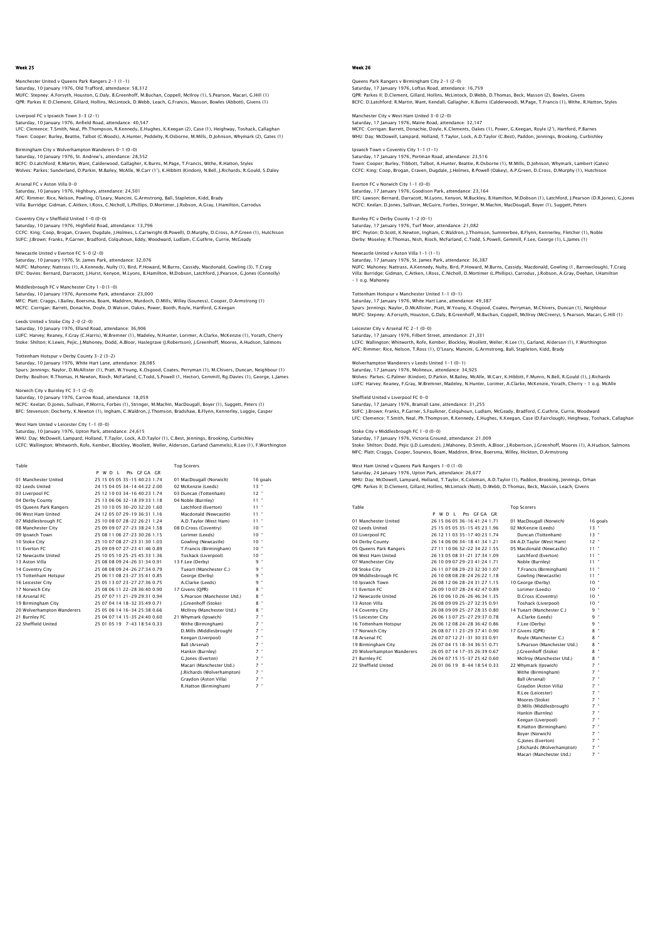Manchester United v Queens Park Rangers 2–1 (1–1)<br>Saturday, 10 January 1976, Old Trafford, attendance: 58,312<br>MUFC: Stepney; A.Forsyth, Houston, G.Daly, B.Greenhoff, M.Buchan, Coppell, McIlroy (1), S.Pearson, Macari, G.Hil QPR: Parkes II; D.Clement, Gillard, Hollins, McLintock, D.Webb, Leach, G.Francis, Masson, Bowles (Abbott), Givens (1)

Liverpool FC v Ipswich Town 3-3 (2-1) Saturday, 10 January 1976, Anfield Road, attendance: 40,547 LFC: Clemence; T.Smith, Neal, Ph.Thompson, R.Kennedy, E.Hughes, K.Keegan (2), Case (1), Heighway, Toshack, Callaghan Town: Cooper; Burley, Beattie, Talbot (C.Woods), A.Hunter, Peddelty, R.Osborne, M.Mills, D.Johnson, Whymark (2), Gates (1)

Birmingham City v Wolverhampton Wanderers 0-1 (0-0) Saturday, 10 January 1976, St. Andrew's, attendance: 28,552 BCFC: D.Latchford; R.Martin, Want, Calderwood, Gallagher, K.Burns, M.Page, T.Francis, Withe, R.Hatton, Styles<br>Wolves: Parkes; Sunderland, D.Parkin, M.Bailey, McAlle, W.Carr (1'), K.Hibbitt (Kindon), N.Bell, J.Richards, R.G

Arsenal FC v Aston Villa 0-0 Saturday, 10 January 1976, Highbury, attendance: 24,501 AFC: Rimmer; Rice, Nelson, Powling, O'Leary, Mancini, G.Armstrong, Ball, Stapleton, Kidd, Brady Villa: Burridge; Gidman, C.Aitken, I.Ross, C.Nicholl, L.Phillips, D.Mortimer, J.Robson, A.Gray, I.Hamilton, Carrodus

Coventry City v Sheffield United 1-0 (0-0) Saturday, 10 January 1976, Highfield Road, attendance: 13,796 CCFC: King; Coop, Brogan, Craven, Dugdale, J.Holmes, L.Cartwright (B.Powell), D.Murphy, D.Cross, A.P.Green (1), Hutchison SUFC: J.Brown; Franks, P.Garner, Bradford, Colquhoun, Eddy, Woodward, Ludlam, C.Guthrie, Currie, McGeady

Newcastle United v Everton FC 5-0 (2-0) Saturday, 10 January 1976, St. James Park, attendance: 32,076 NUFC: Mahoney; Nattrass (1), A.Kennedy, Nulty (1), Bird, P.Howard, M.Burns, Cassidy, Macdonald, Gowling (3), T.Craig EFC: Davies; Bernard, Darracott, J.Hurst, Kenyon, M.Lyons, B.Hamilton, M.Dobson, Latchford, J.Pearson, G.Jones (Connolly)

Middlesbrough FC v Manchester City 1-0 (1-0) Saturday, 10 January 1976, Ayresome Park, attendance: 23,000<br>MFC: Platt; Craggs, I.Bailey, Boersma, Boam, Maddren, Murdoch, D.Mills, Willey (Souness), Cooper, D.Armstrong (1)<br>MCFC: Corrigan; Barrett, Donachie, Doyle, D.Wat

Leeds United v Stoke City 2-0 (2-0)<br>Saturday, 10 January 1076, Elland Board, attandance: 36,006 Saturday, 10 January 1976, Elland Road, attendance: 36,906<br>LUFC: Harvey, Reaney, F.Gray (C.Harris), W.Bremner (1), Madeley, N.Hunter, Lorimer, A.Clarke, McKenzie (1), Yorath, Cherry<br>Stoke: Shilton; K.Lewis, Pejic, J.Mahone

Tottenham Hotspur v Derby County 3-2 (3-2)

Saturday, 10 January 1976, White Hart Lane, attendance: 28,085<br>Spurs: Jennings; Naylor, D.McAllister (1), Pratt, W.Young, K.Osgood, Coates, Perryman (1), M.Chivers, Duncan, Neighbour (1)<br>Derby: Boulton: R.Thomas, H.Newton,

## Norwich City v Burnley FC 3-1 (2-0)

Saturday, 10 January 1976, Carrow Road, attendance: 18,059<br>NCFC: Keelan; D.Jones, Sullivan, P.Morris, Forbes (1), Stringer, M.Machin, MacDougall, Boyer (1), Suggett, Peters (1)<br>BFC: Stevenson; Docherty, K.Newton (1), Ingha

West Ham United v Leicester City 1-1 (0-0)

Saturday, 10 January 1976, Upton Park, attendance: 24,615 WHU: Day; McDowell, Lampard, Holland, T.Taylor, Lock, A.D.Taylor (1), C.Best, Jennings, Brooking, Curbishley

LCFC: Wallington; Whitworth, Rofe, Kember, Blockley, Woollett, Weller, Alderson, Garland (Sammels), R.Lee (1), F.Worthington

| Table                      |                              | <b>Top Scorers</b>          |          |
|----------------------------|------------------------------|-----------------------------|----------|
|                            | P W D I<br>Pts GEGA GR       |                             |          |
| 01 Manchester United       | 25 15 05 05 35-15 40:23 1.74 | 01 MacDougall (Norwich)     | 16 goals |
| 02 Leeds United            | 24 15 04 05 34-14 44:22 2.00 | 02 McKenzie (Leeds)         | 13"      |
| 03 Liverpool FC            | 25 12 10 03 34-16 40:23 1.74 | 03 Duncan (Tottenham)       | $12$ $"$ |
| 04 Derby County            | 25 13 06 06 32-18 39:33 1.18 | 04 Noble (Burnley)          | $11 -$   |
| 05 Queens Park Rangers     | 25 10 10 05 30-20 32:20 1.60 | Latchford (Everton)         | $11 -$   |
| 06 West Ham United         | 24 12 05 07 29-19 36:31 1.16 | Macdonald (Newcastle)       | $11 -$   |
| 07 Middlesbrough FC        | 25 10 08 07 28-22 26:21 1.24 | A.D.Tavlor (West Ham)       | $11 -$   |
| 08 Manchester City         | 25 09 09 07 27-23 38:24 1.58 | 08 D.Cross (Coventry)       | 10"      |
| 09 Ipswich Town            | 25 08 11 06 27-23 30:26 1.15 | Lorimer (Leeds)             | $10 -$   |
| 10 Stoke City              | 25 10 07 08 27-23 31:30 1.03 | Gowling (Newcastle)         | 10"      |
| 11 Everton EC              | 25 09 09 07 27-23 41:46 0.89 | T.Francis (Birmingham)      | $10 -$   |
| 12 Newcastle United        | 25 10 05 10 25-25 45:33 1.36 | Toshack (Liverpool)         | $10 -$   |
| 13 Aston Villa             | 25 08 08 09 24-26 31:34 0.91 | 13 F.Lee (Derby)            | 9 "      |
| 14 Coventry City           | 25 08 08 09 24-26 27:34 0.79 | Tueart (Manchester C.)      | 9 "      |
| 15 Tottenham Hotspur       | 25 06 11 08 23-27 35:41 0.85 | George (Derby)              | 9 "      |
| 16 Leicester City          | 25 05 13 07 23-27 27:36 0.75 | A.Clarke (Leeds)            | 9 "      |
| 17 Norwich City            | 25 08 06 11 22-28 36:40 0.90 | 17 Givens (OPR)             | $8$ "    |
| 18 Arsenal FC              | 25 07 07 11 21-29 29:31 0.94 | S.Pearson (Manchester Utd.) | 8 "      |
| 19 Birmingham City         | 25 07 04 14 18-32 35:49 0.71 | J.Greenhoff (Stoke)         | $8$ "    |
| 20 Wolverhampton Wanderers | 25 05 06 14 16-34 25:38 0.66 | McIlrov (Manchester Utd.)   | $8 -$    |
| 21 Burnley FC              | 25 04 07 14 15-35 24:40 0.60 | 21 Whymark (Ipswich)        | $7$ "    |
| 22 Sheffield United        | 25 01 05 19 7-43 18:54 0.33  | Withe (Birmingham)          | $7 -$    |
|                            |                              | D.Mills (Middlesbrough)     | $7 -$    |
|                            |                              | Keegan (Liverpool)          | $7 -$    |
|                            |                              | <b>Ball (Arsenal)</b>       | $7$ "    |
|                            |                              | Hankin (Burnley)            | $7 -$    |
|                            |                              | G. lones (Everton)          | $7$ "    |
|                            |                              | Macari (Manchester Utd.)    | $7$ "    |

LRichards (Wolverhampton) Graydon (Aston Villa) Braydon (Birmingham)

### Week 26

Queens Park Rangers v Birmingham City 2–1 (2–0)<br>Saturday, 17 January 1976, Loftus Road, attendance: 16,759<br>QPR: Parkes II; D.Clement, Gillard, Hollins, McLintock, D.Webb, D.Thomas, Beck, Masson (2), Bowles, Givens BCFC: D.Latchford; R.Martin, Want, Kendall, Gallagher, K.Burns (Calderwood), M.Page, T.Francis (1), Withe, R.Hatton, Styles

Manchester City v West Ham United 3-0 (2-0) Saturday, 17 January 1976, Maine Road, attendance: 32,147 MCFC: Corrigan; Barrett, Donachie, Doyle, K.Clements, Oakes (1), Power, G.Keegan, Royle (2'), Hartford, P.Barnes WHU: Day; McDowell, Lampard, Holland, T.Taylor, Lock, A.D.Taylor (C.Best), Paddon, Jennings, Brooking, Curbishley

Ipswich Town v Coventry City 1-1 (1-1) Saturday, 17 January 1976, Portman Road, attendance: 23,516 Town: Cooper; Burley, Tibbott, Talbot, A.Hunter, Beattie, R.Osborne (1), M.Mills, D.Johnson, Whymark, Lambert (Gates) CCFC: King; Coop, Brogan, Craven, Dugdale, J.Holmes, B.Powell (Oakey), A.P.Green, D.Cross, D.Murphy (1), Hutchison

Everton FC v Norwich City 1-1 (0-0) Saturday, 17 January 1976, Goodison Park, attendance: 23,164 EFC: Lawson; Bernard, Darracott, M.Lyons, Kenyon, M.Buckley, B.Hamilton, M.Dobson (1), Latchford, J.Pearson (D.R.Jones), G.Jones<br>NCFC: Keelan; D.Jones, Sullivan, McGuire, Forbes, Stringer, M.Machin, MacDougall, Boyer (1),

Burnley FC v Derby County 1-2 (0-1) Saturday, 17 January 1976, Turf Moor, attendance: 21,082 BFC: Peyton; D.Scott, K.Newton, Ingham, C.Waldron, J.Thomson, Summerbee, B.Flynn, Kennerley, Fletcher (1), Noble Derby: Moseley; R.Thomas, Nish, Rioch, McFarland, C.Todd, S.Powell, Gemmill, F.Lee, George (1), L.James (1)

Saturday, 17 January 1976, St. James Park, attendance: 36,387<br>NUFC: Mahoney, Natrass, A.Kennedy, Nulty, Bird, P.Howard, M.Burns, Cassidy, Macdonald, Gowling (1, Barrowclough), T.Craig<br>Villa: Burridge; Gidman, C.Aitken, I.R – 1 o.g. Mahoney

Tottenham Hotspur v Manchester United 1–1 (0–1)<br>Saturday, 17 January 1976, White Hart Lane, attendance: 49,387<br>Spurs: Jennings; Naylor, D.McAllister, Pratt, W.Young, K.Osgood, Coates, Perryman, M.Chivers, Duncan (1), Neigh

Leicester City v Arsenal FC 2-1 (0-0) Saturday, 17 January 1976, Filbert Street, attendance: 21,331 LCFC: Wallington; Whitworth, Rofe, Kember, Blockley, Woollett, Weller, R.Lee (1), Garland, Alderson (1), F.Worthington AFC: Rimmer; Rice, Nelson, T.Ross (1), O'Leary, Mancini, G.Armstrong, Ball, Stapleton, Kidd, Brady

Wolverhampton Wanderers v Leeds United 1-1 (0-1) Saturday, 17 January 1976, Molineux, attendance: 34,925 Wolves: Parkes; G.Palmer (Kindon), D.Parkin, M.Bailey, McAlle, W.Carr, K.Hibbitt, F.Munro, N.Bell, R.Gould (1), J.Richards LUFC: Harvey; Reaney, F.Gray, W.Bremner, Madeley, N.Hunter, Lorimer, A.Clarke, McKenzie, Yorath, Cherry – 1 o.g. McAlle

Sheffield United v Liverpool FC 0-0 Saturday, 17 January 1976, Bramall Lane, attendance: 31,255<br>SUFC: J.Brown; Franks, P.Garner, S.Faulkner, Colquhoun, Ludlam, McGeady, Bradford, C.Guthrie, Currie, Woodward<br>LFC: Clemence; T.Smith, Neal, Ph.Thompson, R.Kenned

Stoke City v Middlesbrough FC 1-0 (0-0) Saturday, 17 January 1976, Victoria Ground, attendance: 21,009 Stoke: Shilton; Dodd, Pejic (J.D.Lumsden), J.Mahoney, D.Smith, A.Bloor, J.Robertson, J.Greenhoff, Moores (1), A.Hudson, Salmons<br>MFC: Platt; Craqqs, Cooper, Souness, Boam, Maddren, Brine, Boersma, Willey, Hickton, D.Armstro

West Ham United v Queens Park Rangers 1-0 (1-0)

Newcastle United v Aston Villa 1-1 (1-1)

Saturday, 24 January 1976, Upton Park, attendance: 26,677<br>WHU: Day; McDowell, Lampard, Holland, T.Taylor, K.Coleman, A.D.Taylor (1), Paddon, Brooking, Jennings, Orhar<br>QPR: Parkes II; D.Clement, Gillard, Hollins, McLintock

| Table                      |                              | <b>Top Scorers</b>           |            |
|----------------------------|------------------------------|------------------------------|------------|
|                            | P W D L Pts GF GA GR         |                              |            |
| 01 Manchester United       | 26 15 06 05 36-16 41:24 1.71 | 01 MacDougall (Norwich)      | 16 goals   |
| 02 Leeds United            | 25 15 05 05 35-15 45:23 1.96 | 02 McKenzie (Leeds)          | $13 -$     |
| 03 Liverpool FC            | 26 12 11 03 35-17 40:23 1.74 | Duncan (Tottenham)           | $13 -$     |
| 04 Derby County            | 26 14 06 06 34-18 41 34 1.21 | 04 A.D.Tavlor (West Ham)     | $12 -$     |
| 05 Queens Park Rangers     | 27 11 10 06 32-22 34:22 1.55 | 05 Macdonald (Newcastle)     | $11 -$     |
| 06 West Ham United         | 26 13 05 08 31-21 37:34 1.09 | Latchford (Everton)          | $11 -$     |
| 07 Manchester City         | 26 10 09 07 29-23 41:24 1.71 | Noble (Burnley)              | $11 -$     |
| 08 Stoke City              | 26 11 07 08 29-23 32:30 1.07 | T.Francis (Birmingham)       | $11 -$     |
| 09 Middlesbrough FC        | 26 10 08 08 28-24 26:22 1.18 | Gowling (Newcastle)          | $11 -$     |
| 10 Ipswich Town            | 26 08 12 06 28-24 31:27 1.15 | 10 George (Derby)            | $10^{-4}$  |
| 11 Everton EC              | 26 09 10 07 28-24 42:47 0.89 | Lorimer (Leeds)              | $10^{-4}$  |
| 12 Newcastle United        | 26 10 06 10 26-26 46:34 1.35 | D.Cross (Coventry)           | $10 -$     |
| 13 Aston Villa             | 26.08.09.09.25-27.32:35.0.91 | Toshack (Liverpool)          | $10^{-4}$  |
| 14 Coventry City           | 26.08.09.09.25-27.28:35.0.80 | 14 Tueart (Manchester C.)    | $9 -$      |
| 15 Leicester City          | 26 06 13 07 25-27 29:37 0.78 | A.Clarke (Leeds)             | $9 -$      |
| 16 Tottenham Hotspur       | 26 06 12 08 24-28 36:42 0.86 | F.Lee (Derby)                | $9 -$      |
| 17 Norwich City            | 26.08.07.11.23-29.37:41.0.90 | 17 Givens (OPR)              | $8 -$      |
| 18 Arsenal FC              | 26 07 07 12 21-31 30:33 0.91 | Rovie (Manchester C.)        | $8 -$      |
| 19 Birmingham City         | 26 07 04 15 18-34 36:51 0.71 | S.Pearson (Manchester Utd.)  | $8 -$      |
| 20 Wolverhampton Wanderers | 26 05 07 14 17-35 26:39 0.67 | I.Greenhoff (Stoke)          | $8 -$      |
| 21 Burnley FC              | 26 04 07 15 15-37 25:42 0.60 | McIlrov (Manchester Utd.)    | $8 -$      |
| 22 Sheffield United        | 26 01 06 19 8-44 18:54 0.33  | 22 Whymark (Ipswich)         | $7 -$      |
|                            |                              | Withe (Birmingham)           | $7 -$      |
|                            |                              | <b>Ball (Arsenal)</b>        | $7 -$      |
|                            |                              | Gravdon (Aston Villa)        | $7 -$      |
|                            |                              | $P_1$ is a distance of $P_2$ | <b>7 a</b> |

| 18 Arsenal FC              | 26 07 07 12 21-31 30:33 0.91 | Rovie (Manchester C.)       | 8 <sup>1</sup> |
|----------------------------|------------------------------|-----------------------------|----------------|
| 19 Birmingham City         | 26 07 04 15 18-34 36:51 0.71 | S.Pearson (Manchester Utd.) | 8              |
| 20 Wolverhampton Wanderers | 26 05 07 14 17-35 26:39 0.67 | I.Greenhoff (Stoke)         | 8.             |
| 21 Burnley FC              | 26 04 07 15 15-37 25:42 0.60 | McIlrov (Manchester Utd.)   | 8 '            |
| 22 Sheffield United        | 26 01 06 19 8-44 18:54 0.33  | 22 Whymark (Ipswich)        | 7 <sup>1</sup> |
|                            |                              | Withe (Birmingham)          | 7 <sup>1</sup> |
|                            |                              | Ball (Arsenal)              | 7 <sup>1</sup> |
|                            |                              | Graydon (Aston Villa)       | 7 <sup>1</sup> |
|                            |                              | R.Lee (Leicester)           | 7 <sup>1</sup> |
|                            |                              | Moores (Stoke)              | 7 <sup>1</sup> |
|                            |                              | D.Mills (Middlesbrough)     | 7 <sup>1</sup> |
|                            |                              | Hankin (Burnley)            | 7 <sup>1</sup> |
|                            |                              | Keegan (Liverpool)          | 7 <sup>1</sup> |
|                            |                              | R.Hatton (Birmingham)       | 7 <sup>1</sup> |
|                            |                              | Boyer (Norwich)             | 7 <sup>1</sup> |
|                            |                              | G.Jones (Everton)           | 7 <sup>1</sup> |
|                            |                              | I.Richards (Wolverhampton)  | 7 <sup>1</sup> |
|                            |                              | Macari (Manchester Utd.)    | $7$ .          |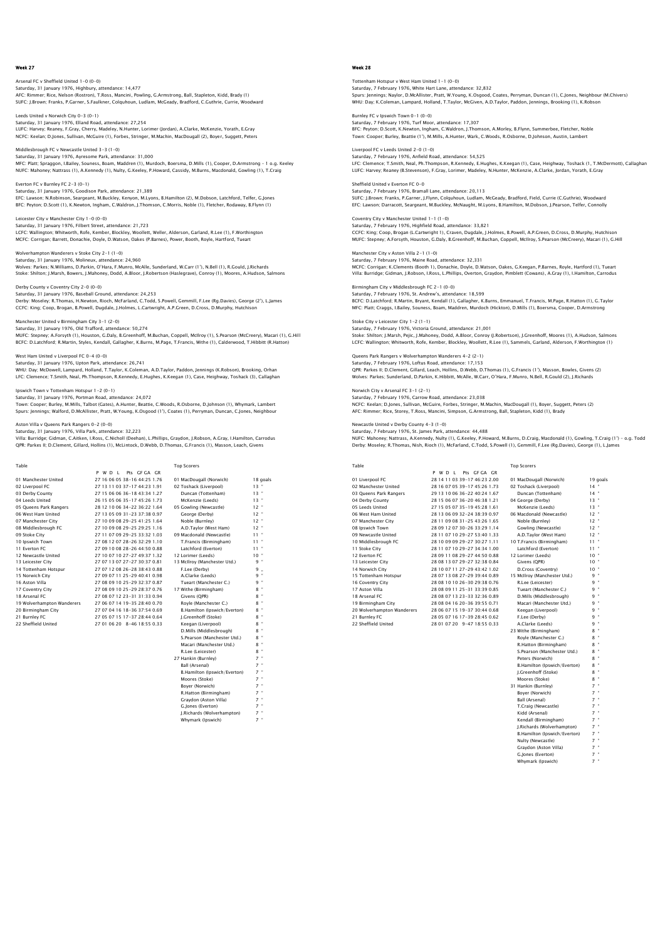Arsenal FC v Sheffield United 1–0 (0–0)<br>Saturday, 31 January 1976, Highbury, attendance: 14,477<br>AFC: Rimmer; Rice, Nelson (Rostron), T.Ross, Mancini, Powling, G.Armstrong, Ball, Stapleton, Kidd, Brady (1) SUFC: J.Brown; Franks, P.Garner, S.Faulkner, Colquhoun, Ludlam, McGeady, Bradford, C.Guthrie, Currie, Woodward

Leeds United v Norwich City 0-3 (0-1)<br>Saturday, 31 January 1976, Elland Road, attendance: 27,254<br>LUFC: Harvey: Reaney, F.Gray, Cherry, Madeley, N.Hunter, Lorimer (Jordan), A.Clarke, McKenzie, Yorath, E.Gray NCFC: Keelan; D.Jones, Sullivan, McGuire (1), Forbes, Stringer, M.Machin, MacDougall (2), Boyer, Suggett, Peters

Middlesbrough FC v Newcastle United 3-3 (1-0) Saturday, 31,000 Saturday, 31,000 Saturday, 31,000 Saturday, 31,000 MFC: Platt; Spraggon, I.Bailey, Souness, Boam, Maddren (1), Murdoch, Boersma, D.Mills (1), Cooper, D.Armstrong – 1 o.g. Keeley NUFC: Mahoney; Nattrass (1), A.Kennedy (1), Nulty, G.Keeley, P.Howard, Cassidy, M.Burns, Macdonald, Gowling (1), T.Craig

Everton FC v Burnley FC 2-3 (0-1) Saturday, 31 January 1976, Goodison Park, attendance: 21,389 EFC: Lawson; N.Robinson, Seargeant, M.Buckley, Kenyon, M.Lyons, B.Hamilton (2), M.Dobson, Latchford, Telfer, G.Jones<br>BFC: Peyton; D.Scott (1), K.Newton, Ingham, C.Waldron, J.Thomson, C.Morris, Noble (1), Fletcher, Rodaway,

Leicester City v Manchester City 1-0 (0-0) Saturday, 31 January 1976, Filbert Street, attendance: 21,723 LCFC: Wallington; Whitworth, Rofe, Kember, Blockley, Woollett, Weller, Alderson, Garland, R.Lee (1), F.Worthington MCFC: Corrigan; Barrett, Donachie, Doyle, D.Watson, Oakes (P.Barnes), Power, Booth, Royle, Hartford, Tueart

## Wolverhampton Wanderers v Stoke City 2-1 (1-0)

Saturday, 31 January 1976, Molineux, attendance: 24,960 Wolves: Parkes; N.Williams, D.Parkin, O'Hara, F.Munro, McAlle, Sunderland, W.Carr (1'), N.Bell (1), R.Gould, J.Richards Stoke: Shilton; J.Marsh, Bowers, J.Mahoney, Dodd, A.Bloor, J.Robertson (Haslegrave), Conroy (1), Moores, A.Hudson, Salmons

## Derby County v Coventry City 2-0 (0-0)

Saturday, 31 January 1976, Baseball Ground, attendance: 24,253 Derby: Moseley; R.Thomas, H.Newton, Rioch, McFarland, C.Todd, S.Powell, Gemmill, F.Lee (Rg.Davies), George (2'), L.James CCFC: King; Coop, Brogan, B.Powell, Dugdale, J.Holmes, L.Cartwright, A.P.Green, D.Cross, D.Murphy, Hutchison

## Manchester United v Birmingham City 3-1 (2-0)

Saturday, 31 January 1976, Old Trafford, attendance: 50,274<br>MUFC: Stepney; A.Forsyth (1), Houston, G.Daly, B.Greenhoff, M.Buchan, Coppell, McIlroy (1), S.Pearson (McCreery), Macari (1), G.Hill BCFC: D.Latchford; R.Martin, Styles, Kendall, Gallagher, K.Burns, M.Page, T.Francis, Withe (1), Calderwood, T.Hibbitt (R.Hatton)

#### West Ham United v Liverpool FC 0-4 (0-0)

Saturday, 31 January 1976, Upton Park, attendance: 26,741 WHU: Day; McDowell, Lampard, Holland, T.Taylor, K.Coleman, A.D.Taylor, Paddon, Jennings (K.Robson), Brooking, Orhan<br>LFC: Clemence; T.Smith, Neal, Ph.Thompson, R.Kennedy, E.Hughes, K.Keegan (1), Case, Heighway, Toshack (3),

#### Ipswich Town v Tottenham Hotspur 1-2 (0-1) Saturday, 31 January 1976, Portman Road, attendance: 24,072

Town: Cooper; Burley, M.Mills, Talbot (Gates), A.Hunter, Beattie, C.Woods, R.Osborne, D.Johnson (1), Whymark, Lambert<br>Spurs: Jennings; Walford, D.McAllister, Pratt, W.Young, K.Osgood (1'), Coates (1), Perryman, Duncan, C.J

#### Aston Villa v Queens Park Rangers 0-2 (0-0)

Saturday, 31 January 1976, Villa Park, attendance: 32,223 Villa: Burridge; Gidman, C.Aitken, I.Ross, C.Nicholl (Deehan), L.Phillips, Graydon, J.Robson, A.Gray, I.Hamilton, Carrodus QPR: Parkes II; D.Clement, Gillard, Hollins (1), McLintock, D.Webb, D.Thomas, G.Francis (1), Masson, Leach, Givens

| Table                      |                              | <b>Top Scorers</b>           |               |
|----------------------------|------------------------------|------------------------------|---------------|
|                            | Pts GEGA GR<br>P W D I       |                              |               |
| 01 Manchester United       | 27 16 06 05 38-16 44:25 1.76 | 01 MacDougall (Norwich)      | 18 goals      |
| 02 Liverpool FC            | 27 13 11 03 37-17 44:23 1.91 | 02 Toshack (Liverpool)       | $13 -$        |
| 03 Derby County            | 27 15 06 06 36-18 43:34 1.27 | Duncan (Tottenham)           | $13 -$        |
| 04 Leeds United            | 26 15 05 06 35-17 45:26 1.73 | McKenzie (Leeds)             | 13"           |
| 05 Queens Park Rangers     | 28 12 10 06 34-22 36:22 1.64 | 05 Gowling (Newcastle)       | $12$ "        |
| 06 West Ham United         | 27 13 05 09 31-23 37:38 0.97 | George (Derby)               | $12$ $"$      |
| 07 Manchester City         | 27 10 09 08 29-25 41:25 1.64 | Noble (Burnley)              | 12"           |
| 08 Middlesbrough FC        | 2710090829-2529251.16        | A.D.Taylor (West Ham)        | $12$ $"$      |
| 09 Stoke City              | 27 11 07 09 29-25 33:32 1.03 | 09 Macdonald (Newcastle)     | $11 -$        |
| 10 Ipswich Town            | 27 08 12 07 28-26 32:29 1.10 | T.Francis (Birmingham)       | $11 -$        |
| 11 Everton EC              | 27 09 10 08 28-26 44:50 0.88 | Latchford (Everton)          | $11 -$        |
| 12 Newcastle United        | 27 10 07 10 27-27 49:37 1.32 | 12 Lorimer (Leeds)           | $10 -$        |
| 13 Leicester City          | 27 07 13 07 27-27 30:37 0.81 | 13 McIlrov (Manchester Utd.) | 9 "           |
| 14 Tottenham Hotspur       | 27 07 12 08 26-28 38:43 0.88 | F.Lee (Derby)                | 9             |
| 15 Norwich City            | 27 09 07 11 25-29 40:41 0.98 | A.Clarke (Leeds)             | 9 "           |
| 16 Aston Villa             | 27 08 09 10 25-29 32:37 0.87 | Tueart (Manchester C.)       | $\alpha$<br>9 |
| 17 Coventry City           | 27 08 09 10 25-29 28:37 0.76 | 17 Withe (Birmingham)        | $8 -$         |
| 18 Arsenal FC              | 27 08 07 12 23-31 31:33 0.94 | Givens (OPR)                 | $8 -$         |
| 19 Wolverhampton Wanderers | 27 06 07 14 19-35 28:40 0.70 | Rovle (Manchester C.)        | $8$ "         |
| 20 Birmingham City         | 27 07 04 16 18-36 37:54 0.69 | B.Hamilton (Ipswich/Everton) | $8$ "         |
| 21 Burnley FC              | 27 05 07 15 17-37 28:44 0.64 | I.Greenhoff (Stoke)          | $8$ "         |
| 22 Sheffield United        | 27 01 06 20 8-46 18:55 0.33  | Keegan (Liverpool)           | $8$ "         |
|                            |                              | D.Mills (Middlesbrough)      | $8$ "         |
|                            |                              | S.Pearson (Manchester Utd.)  | 8 "           |
|                            |                              | Macari (Manchester Utd.)     | $8$ "         |
|                            |                              | R.Lee (Leicester)            | $8$ "         |
|                            |                              | 27 Hankin (Burnley)          | $7$ "         |
|                            |                              | Ball (Arsenal)               | $7 -$         |
|                            |                              | B.Hamilton (Ipswich/Everton) | $7$ "         |
|                            |                              | Moores (Stoke)               | $7$ "         |
|                            |                              | Bover (Norwich)              | $7$ "         |
|                            |                              | <b>D</b> Hatton (Rirmingham) | $7 -$         |

 Graydon (Aston Villa) 7 " G.Jones (Everton) 7 " **J.Richards (Wolverhampton)** whymark (Inswich)

## Week 28

Tottenham Hotspur v West Ham United 1–1 (0–0)<br>Saturday, 7 February 1976, White Hart Lane, attendance: 32,832<br>Spurs: Jennings: Naylor, D.McAllister, Pratt, W.Young, K.Osgood, Coates, Perryman, Duncan (1), C.Jones, Neighbour WHU: Day; K.Coleman, Lampard, Holland, T.Taylor, McGiven, A.D.Taylor, Paddon, Jennings, Brooking (1), K.Robson

Burnley FC v Ipswich Town 0-1 (0-0) Saturday, 7 February 1976, Turf Moor, attendance: 17,307 BFC: Peyton; D.Scott, K.Newton, Ingham, C.Waldron, J.Thomson, A.Morley, B.Flynn, Summerbee, Fletcher, Noble Town: Cooper; Burley, Beattie (1'), M.Mills, A.Hunter, Wark, C.Woods, R.Osborne, D.Johnson, Austin, Lambert

Liverpool FC v Leeds United 2-0 (1-0) eeds onted 2-6 (1-6)<br>uary 1976, Anfield Road, attendance: 54,525 LFC: Clemence; T.Smith, Neal, Ph.Thompson, R.Kennedy, E.Hughes, K.Keegan (1), Case, Heighway, Toshack (1, T.McDermott), Callaghan LUFC: Harvey; Reaney (B.Stevenson), F.Gray, Lorimer, Madeley, N.Hunter, McKenzie, A.Clarke, Jordan, Yorath, E.Gray

#### Sheffield United v Everton FC 0-0 day, 7 February 1976, Bramall Lane, attendance: 20,113

SUFC: J.Brown; Franks, P.Garner, J.Flynn, Colquhoun, Ludlam, McGeady, Bradford, Field, Currie (C.Guthrie), Woodward<br>EFC: Lawson; Darracott, Seargeant, M.Buckley, McNaught, M.Lyons, B.Hamilton, M.Dobson, J.Pearson, Telfer,

Coventry City v Manchester United 1–1 (1–0)<br>Saturday, 7 February 1976, Highfield Road, attendance: 33,821<br>CCFC: King: Coop, Brogan (L.Cartwright 1), Craven, Dugdale, J.Holmes, B.Powell, A.P.Green, D.Cross, D.Murphy, Hutchi

Saturday, 7 February 1976, Maine Road, attendance: 32,331 MCFC: Corrigan; K.Clements (Booth 1), Donachie, Doyle, D.Watson, Oakes, G.Keegan, P.Barnes, Royle, Hartford (1), Tueart Villa: Burridge; Gidman, J.Robson, I.Ross, L.Phillips, Overton, Graydon, Pimblett (Cowans), A.Gray (1), I.Hamilton, Carrodus Birmingham City v Middlesbrough FC 2-1 (0-0)

Saturday, 7 February 1976, St. Andrew's, attendance: 18,599 BCFC: D.Latchford; R.Martin, Bryant, Kendall (1), Gallagher, K.Burns, Emmanuel, T.Francis, M.Page, R.Hatton (1), G.Taylor MFC: Platt; Craggs, I.Bailey, Souness, Boam, Maddren, Murdoch (Hickton), D.Mills (1), Boersma, Cooper, D.Armstrong

## Stoke City v Leicester City 1-2 (1-1)

Manchester City v Aston Villa 2-1 (1-0)

Saturday, 7 February 1976, Victoria Ground, attendance: 21,001<br>Stoke: Shilton; J.Marsh, Pejic, J.Mahoney, Dodd, A.Bloor, Conroy (J.Robertson), J.Greenhoff, Moores (1), A.Hudson, Salmons<br>LCFC: Wallington; Whitworth, Rofe, K

Queens Park Rangers v Wolverhampton Wanderers 4-2 (2-1) Saturday, 7 February 1976, Loftus Road, attendance: 17,153 QPR: Parkes II; D.Clement, Gillard, Leach, Hollins, D.Webb, D.Thomas (1), G.Francis (1'), Masson, Bowles, Givens (2)<br>Wolves: Parkes; Sunderland, D.Parkin, K.Hibbitt, McAlle, W.Carr, O'Hara, F.Munro, N.Bell, R.Gould (2), J.

## Norwich City v Arsenal FC 3-1 (2-1)

Saturday, 7 February 1976, Carrow Road, attendance: 23,038<br>NCFC: Keelan; D.Jones, Sullivan, McGuire, Forbes, Stringer, M.Machin, MacDougall (1), Boyer, Suggett, Peters (2)<br>AFC: Rimmer; Rice, Storey, T.Ross, Mancini, Simpso

#### Newcastle United v Derby County 4-3 (1-0)

Saturday, 7 February 1976, St. James Park, attendance: 44,488 NUFC: Mahoney; Nattrass, A.Kennedy, Nulty (1), G.Keeley, P.Howard, M.Burns, D.Craig, Macdonald (1), Gowling, T.Craig (1') – o.g. Todd Derby: Moseley; R.Thomas, Nish, Rioch (1), McFarland, C.Todd, S.Powell (1), Gemmill, F.Lee (Rg.Davies), George (1), L.James

| Table                      |                                | <b>Top Scorers</b>           |                 |
|----------------------------|--------------------------------|------------------------------|-----------------|
|                            | P W D I<br>Pts GE GA GR        |                              |                 |
| 01 Liverpool FC            | 28 14 11 03 39-17 46:23 2.00   | 01 MacDougall (Norwich)      | 19 goals        |
| 02 Manchester United       | 28 16 07 05 39-17 45:26 1.73   | 02 Toshack (Liverpool)       | $14 -$          |
| 03 Queens Park Rangers     | 29 13 10 06 36-22 40:24 1.67   | Duncan (Tottenham)           | $14 -$          |
| 04 Derby County            | 28 15 06 07 36-20 46:38 1.21   | 04 George (Derby)            | $13 -$          |
| 05 Leeds United            | 27 15 05 07 35-19 45:28 1.61   | McKenzie (Leeds)             | $13 -$          |
| 06 West Ham United         | 28 13 06 09 32-24 38:39 0.97   | 06 Macdonald (Newcastle)     | $12 -$          |
| 07 Manchester City         | 28 11 09 08 31 - 25 43:26 1.65 | Noble (Burnley)              | $12 -$          |
| 08 Ipswich Town            | 28 09 12 07 30-26 33:29 1.14   | Gowling (Newcastle)          | $12 -$          |
| 09 Newcastle United        | 28 11 07 10 29-27 53:40 1.33   | A.D.Tavlor (West Ham)        | $12 -$          |
| 10 Middlesbrough FC        | 28 10 09 09 29-27 30:27 1.11   | 10 T.Francis (Birmingham)    | $11 -$          |
| 11 Stoke City              | 28 11 07 10 29-27 34:34 1.00   | Latchford (Everton)          | $11 -$          |
| 12 Everton EC              | 28 09 11 08 29-27 44:50 0.88   | 12 Lorimer (Leeds)           | $10^{-4}$       |
| 13 Leicester City          | 28 08 13 07 29-27 32:38 0.84   | Givens (OPR)                 | $10^{-4}$       |
| 14 Norwich City            | 28 10 07 11 27-29 43:42 1.02   | D.Cross (Coventry)           | 10 <sup>4</sup> |
| 15 Tottenham Hotspur       | 28 07 13 08 27-29 39:44 0.89   | 15 McIlroy (Manchester Utd.) | $9 -$           |
| 16 Coventry City           | 28 08 10 10 26-30 29:38 0.76   | R.Lee (Leicester)            | $9 -$           |
| 17 Aston Villa             | 28 08 09 11 25-31 33:39 0.85   | Tueart (Manchester C.)       | $9 -$           |
| 18 Arsenal FC              | 28 08 07 13 23-33 32:36 0.89   | D.Mills (Middlesbrough)      | $9 -$           |
| 19 Birmingham City         | 28 08 04 16 20-36 39:55 0.71   | Macari (Manchester Utd.)     | $q$ =           |
| 20 Wolverhampton Wanderers | 28 06 07 15 19-37 30:44 0.68   | Keegan (Liverpool)           | $9 -$           |
| 21 Burnley FC              | 28 05 07 16 17-39 28:45 0.62   | F.Lee (Derby)                | q =             |
|                            |                                |                              |                 |

28 15 06 07 36-20 46:38 1.21 04 George (Derby) 13 "<br>27 15 05 07 35-19 45:28 1.61 McKenzie (Leeds) 13 "<br>28 13 06 09 32-24 38:39 0.97 06 Macdonald (Newcastle) 12 "<br>28 11 09 08 31-25 43:26 1.65 Noble (Burnley) 12 " 28 09 12 07 30-26 33:29 1.14 Gowling (Newcastle) 12<br>28 11 07 10 29-27 53:40 1.33 A.D.Tavlor (West Ham) 12 12 1 1 07 10 29-27 33:40 1.33 A.D.Taylor (West Ham) 12<br>
28 10 09 09 29-27 34:34 1.00 Latchford (Ermingham) 11 1<br>
28 09 11 08 29-27 44:50 0.88 12 Lorimer (Leeds) 10<br>
10 "<br>
28 09 11 08 29-27 44:50 0.88 12 Lorimer (Leeds) 10 28 10 07 11 27-29 43:42 1.02 D.Cross (Coventry) 10<br>28 07 13 08 27-29 39:44 0.89 15 McIlroy (Manchester Litd.) 9 21 Burnley FC 28 05 07 16 17-39 28:45 0.62 F.Lee (Derby) 9 " 22 Sheffield United 28 01 07 20 9-47 18:55 0.33 A.Clarke (Leeds) 9 " Reegan (Liverpool)<br>23 M.Clarke (Leeds)<br>3 Withe (Birmingham) Royle (Manchester C.) R.Hatton (Birmingham) S.Pearson (Manchester Utd.) Peters (Norwich) 8 " B.Hamilton (Ipswich/Everton) 8 " J.Greenhoff (Stoke) 8 " Moores (Stoke) 31 Hankin (Burnley) Boyer (Norwich) 7 " Ball (Arsenal) 7 " .<br>T.Craig (Newcastle)

Kidd (Arsenal)<br>Kendall (Rirmingham) Kendall (Birmingham) 7 " J.Richards (Wolverhampton) 7 " B.Hamilton (Ipswich/Everton) 7 " Nulty (Newcastle) 7 " Graydon (Aston Villa)

G.Jones (Everton) .<br>wmark (Ipswich)